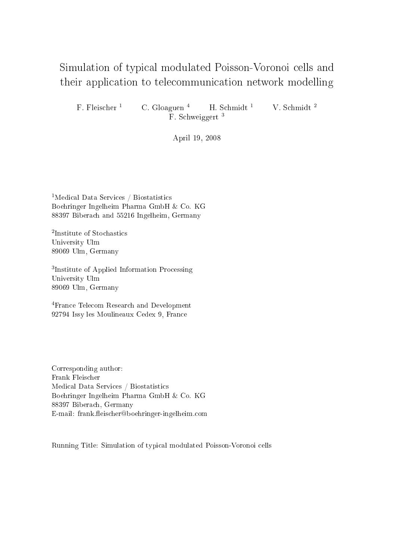## Simulation of typi
al modulated Poisson-Voronoi ells and the community protection at the telecommunity contains the contentration of the contentration of the contentration of the contentration of the contentration of the contentration of the contentration of the contentration of

F. Fleischer<sup>1</sup> C. Gloaguen<sup>4</sup> H. Schmidt<sup>1</sup> V. Schmidt<sup>2</sup> F. Schweiggert<sup>3</sup>

April 19, 2008

<sup>1</sup>Medical Data Services / Biostatistics Boehringer Ingelheim Pharma GmbH & Co. KG 88397 Bibera
h and 55216 Ingelheim, Germany

<sup>2</sup>Institute of Stochastics University Ulm 89069 Ulm, Germany

<sup>3</sup>Institute of Applied Information Processing University Ulm 89069 Ulm, Germany

4Fran
e Tele
om Resear
h and Development 92794 Issy les Moulineaux Cedex 9, Fran
e

Corresponding author: Frank Fleis
her Medi
al Data Servi
es / Biostatisti
s Boehringer Ingelheim Pharma GmbH & Co. KG 88397 Bibera
h, Germany E-mail: frank.fleischer@boehringer-ingelheim.com

Running Title: Simulation of typi
al modulated Poisson-Voronoi ells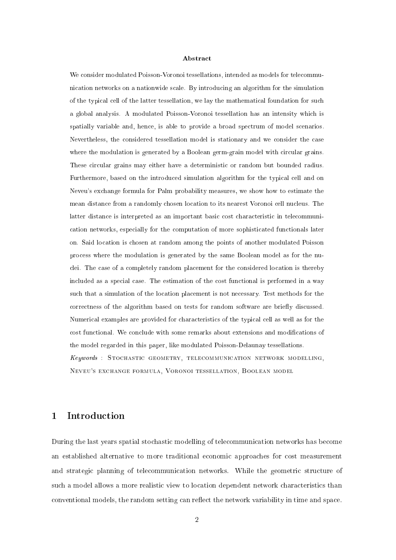We consider modulated Poisson-Voronoi tessellations, intended as models for telecommuni
ation networks on a nationwide s
ale. By introdu
ing an algorithm for the simulation of the typical cell of the latter tessellation, we lay the mathematical foundation for such a global analysis. A modulated Poisson-Voronoi tessellation has an intensity whi
h is spatially variable and, hence, is able to provide a broad spectrum of model scenarios. Nevertheless, the onsidered tessellation model is stationary and we onsider the ase where the modulation is generated by a Boolean germ-grain model with circular grains. These circular grains may either have a deterministic or random but bounded radius. Furthermore, based on the introduced simulation algorithm for the typical cell and on Neveu's ex
hange formula for Palm probability measures, we show how to estimate the mean distan
e from a randomly hosen lo
ation to its nearest Voronoi ell nu
leus. The latter distance is interpreted as an important basic cost characteristic in telecommuniation networks, espe
ially for the omputation of more sophisti
ated fun
tionals later on. Said lo
ation is hosen at random among the points of another modulated Poisson pro
ess where the modulation is generated by the same Boolean model as for the nu clei. The case of a completely random placement for the considered location is thereby included as a special case. The estimation of the cost functional is performed in a way such that a simulation of the location placement is not necessary. Test methods for the correctness of the algorithm based on tests for random software are briefly discussed. Numerical examples are provided for characteristics of the typical cell as well as for the cost functional. We conclude with some remarks about extensions and modifications of the model regarded in this paper, like modulated Poisson-Delaunay tessellations. Keywords : STOCHASTIC GEOMETRY, TELECOMMUNICATION NETWORK MODELLING, Neveu's ex
hange formula, Voronoi tessellation, Boolean model

#### **Introduction**  $\mathbf 1$

During the last years spatial sto
hasti modelling of tele
ommuni
ation networks has be
ome an established alternative to more traditional e
onomi approa
hes for ost measurement and strategic planning of telecommunication networks. While the geometric structure of such a model allows a more realistic view to location dependent network characteristics than conventional models, the random setting can reflect the network variability in time and space.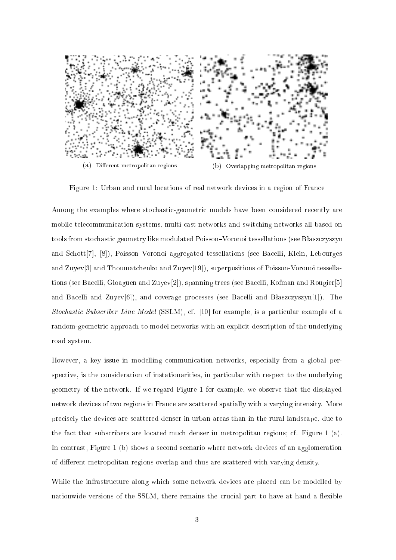

Figure 1: Urban and rural locations of real network devices in a region of France

Among the examples where stochastic-geometric models have been considered recently are mobile tele
ommuni
ation systems, multiast networks and swit
hing networks all based on tools from stochastic geometry like modulated Poisson-Voronoi tessellations (see Błaszczyszyn and Schott<sup>[7]</sup>, [8]), Poisson–Voronoi aggregated tessellations (see Bacelli, Klein, Lebourges and Zuyev[3] and Thoumat
henko and Zuyev[19]), superpositions of Poisson-Voronoi tessellations (see Bacelli, Gloaguen and Zuyev<sup>[2]</sup>), spanning trees (see Bacelli, Kofman and Rougier<sup>[5]</sup> and Bacelli and Zuyev<sup>[6]</sup>), and coverage processes (see Bacelli and Błaszczyszyn<sup>[1]</sup>). The substitute a woodloot — the second (society) is if any contempory of a particle contempory is a random-geometric approach to model networks with an explicit description of the underlying road system.

However, a key issue in modelling communication networks, especially from a global perspective, is the consideration of instationarities, in particular with respect to the underlying geometry of the network. If we regard Figure 1 for example, we observe that the displayed network devi
es of two regions in Fran
e are s
attered spatially with a varying intensity. More pre
isely the devi
es are s
attered denser in urban areas than in the rural lands
ape, due to the fa
t that subs
ribers are lo
ated mu
h denser in metropolitan regions; f. Figure 1 (a). In ontrast, Figure 1 (b) shows a se
ond s
enario where network devi
es of an agglomeration of different metropolitan regions overlap and thus are scattered with varying density.

While the infrastructure along which some network devices are placed can be modelled by nationwide versions of the SSLM, there remains the crucial part to have at hand a flexible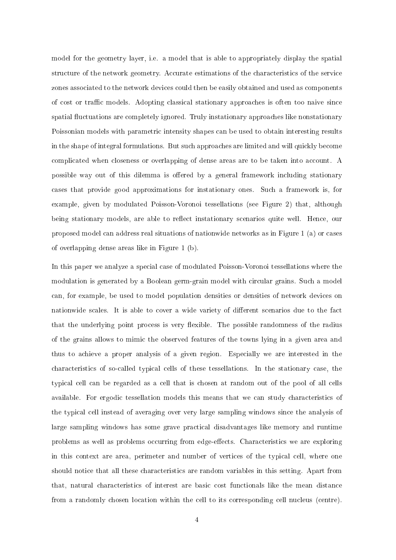model for the geometry layer, i.e. a model that is able to appropriately display the spatial structure of the network geometry. Accurate estimations of the characteristics of the service zones associated to the network devices could then be easily obtained and used as components of cost or traffic models. Adopting classical stationary approaches is often too naive since spatial fluctuations are completely ignored. Truly instationary approaches like nonstationary Poissonian models with parametric intensity shapes can be used to obtain interesting results in the shape of integral formulations. But such approaches are limited and will quickly become complicated when closeness or overlapping of dense areas are to be taken into account. A possible way out of this dilemma is offered by a general framework including stationary ases that provide good approximations for instationary ones. Su
h a framework is, for example, given by modulated Poisson-Voronoi tessellations (see Figure 2) that, although being stationary models, are able to reflect instationary scenarios quite well. Hence, our proposed model an address real situations of nationwide networks as in Figure 1 (a) or ases of overlapping dense areas like in Figure 1 (b).

In this paper we analyze a special case of modulated Poisson-Voronoi tessellations where the modulation is generated by a Boolean germ-grain model with circular grains. Such a model an, for example, be used to model population densities or densities of network devi
es on nationwide scales. It is able to cover a wide variety of different scenarios due to the fact that the underlying point process is very flexible. The possible randomness of the radius of the grains allows to mimi the observed features of the towns lying in a given area and thus to achieve a proper analysis of a given region. Especially we are interested in the characteristics of so-called typical cells of these tessellations. In the stationary case, the typical cell can be regarded as a cell that is chosen at random out of the pool of all cells available. For ergodic tessellation models this means that we can study characteristics of the typi
al ell instead of averaging over very large sampling windows sin
e the analysis of large sampling windows has some grave practical disadvantages like memory and runtime problems as well as problems occurring from edge-effects. Characteristics we are exploring in this ontext are area, perimeter and number of verti
es of the typi
al ell, where one should notice that all these characteristics are random variables in this setting. Apart from that, natural characteristics of interest are basic cost functionals like the mean distance from a randomly chosen location within the cell to its corresponding cell nucleus (centre).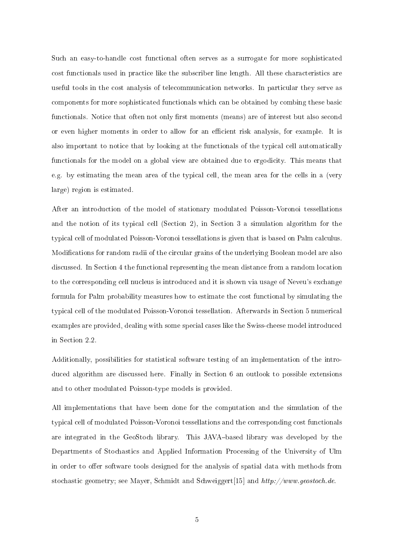Su
h an easy-to-handle ost fun
tional often serves as a surrogate for more sophisti
ated cost functionals used in practice like the subscriber line length. All these characteristics are useful tools in the cost analysis of telecommunication networks. In particular they serve as components for more sophisticated functionals which can be obtained by combing these basic functionals. Notice that often not only first moments (means) are of interest but also second or even higher moments in order to allow for an efficient risk analysis, for example. It is also important to notice that by looking at the functionals of the typical cell automatically functionals for the model on a global view are obtained due to ergodicity. This means that e.g. by estimating the mean area of the typical cell, the mean area for the cells in a (very large) region is estimated.

After an introdu
tion of the model of stationary modulated Poisson-Voronoi tessellations and the notion of its typical cell (Section 2), in Section 3 a simulation algorithm for the typical cell of modulated Poisson-Voronoi tessellations is given that is based on Palm calculus. Modifications for random radii of the circular grains of the underlying Boolean model are also discussed. In Section 4 the functional representing the mean distance from a random location to the orresponding ell nu
leus is introdu
ed and it is shown via usage of Neveu's ex
hange formula for Palm probability measures how to estimate the cost functional by simulating the typical cell of the modulated Poisson-Voronoi tessellation. Afterwards in Section 5 numerical examples are provided, dealing with some special cases like the Swiss-cheese model introduced in Se
tion 2.2.

Additionally, possibilities for statisti
al software testing of an implementation of the introduced algorithm are discussed here. Finally in Section 6 an outlook to possible extensions and to other modulated Poisson-type models is provided.

All implementations that have been done for the omputation and the simulation of the typi
al ell of modulated Poisson-Voronoi tessellations and the orresponding ost fun
tionals are integrated in the GeoStoch library. This JAVA-based library was developed by the Departments of Stochastics and Applied Information Processing of the University of Ulm in order to offer software tools designed for the analysis of spatial data with methods from stochastic geometry; see Mayer, Schmidt and Schweiggert[15] and http://www.geostoch.de.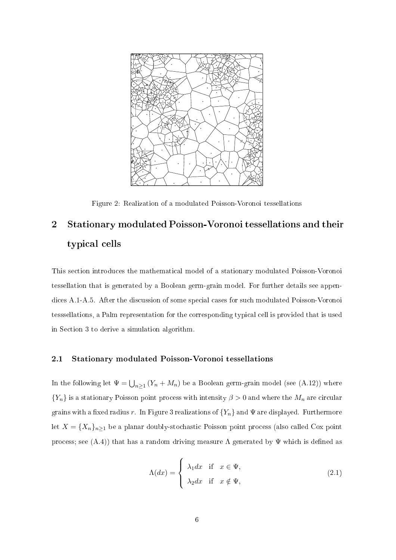

Figure 2: Realization of a modulated Poisson-Voronoi tessellations

# 2 Stationary modulated Poisson-Voronoi tessellations and their typical cells

This se
tion introdu
es the mathemati
al model of a stationary modulated Poisson-Voronoi tessellation that is generated by a Boolean germ-grain model. For further details see appendices A.1-A.5. After the discussion of some special cases for such modulated Poisson-Voronoi tesssellations, a Palm representation for the orresponding typi
al ell is provided that is used in Se
tion 3 to derive a simulation algorithm.

#### 2.1 Stationary modulated Poisson-Voronoi tessellations

In the following let  $\Psi = \bigcup_{n \geq 1} (Y_n + M_n)$  be a Boolean germ-grain model (see (A.12)) where  ${Y_n}$  is a stationary Poisson point process with intensity  $\beta > 0$  and where the  $M_n$  are circular grains with a fixed radius r. In Figure 3 realizations of  ${Y_n}$  and  $\Psi$  are displayed. Furthermore let  $X = \{X_n\}_{n \geq 1}$  be a planar doubly-stochastic Poisson point process (also called Cox point process; see  $(A.4)$ ) that has a random driving measure  $\Lambda$  generated by  $\Psi$  which is defined as

$$
\Lambda(dx) = \begin{cases} \lambda_1 dx & \text{if } x \in \Psi, \\ \lambda_2 dx & \text{if } x \notin \Psi, \end{cases}
$$
\n(2.1)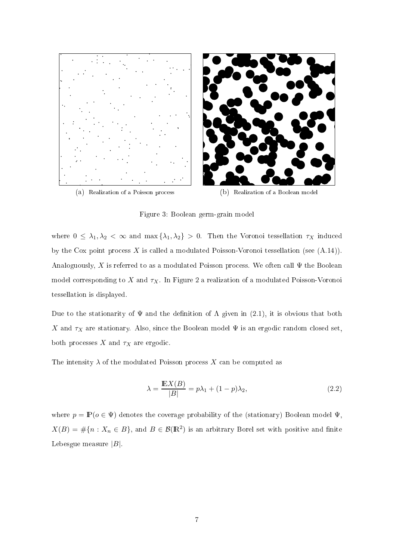

Figure 3: Boolean germ-grain model

where  $0 \leq \lambda_1, \lambda_2 < \infty$  and  $\max{\{\lambda_1, \lambda_2\}} > 0$ . Then the Voronoi tessellation  $\tau_X$  induced by the Cox point process X is called a modulated Poisson-Voronoi tessellation (see  $(A.14)$ ). Analoguously, X is referred to as a modulated Poisson process. We often call  $\Psi$  the Boolean model corresponding to X and  $\tau_X$ . In Figure 2 a realization of a modulated Poisson-Voronoi tessellation is displayed.

Due to the stationarity of  $\Psi$  and the definition of  $\Lambda$  given in (2.1), it is obvious that both X and  $\tau_X$  are stationary. Also, since the Boolean model  $\Psi$  is an ergodic random closed set, both processes  $X$  and  $\tau_X$  are ergodic.

The intensity  $\lambda$  of the modulated Poisson process X can be computed as

$$
\lambda = \frac{\mathbb{E}X(B)}{|B|} = p\lambda_1 + (1 - p)\lambda_2,\tag{2.2}
$$

where  $p = \mathbb{P}(o \in \Psi)$  denotes the coverage probability of the (stationary) Boolean model  $\Psi$ ,  $X(B) = \#\{n : X_n \in B\}$ , and  $B \in \mathcal{B}(\mathbb{R}^2)$  is an arbitrary Borel set with positive and finite Lebesgue measure  $|B|$ .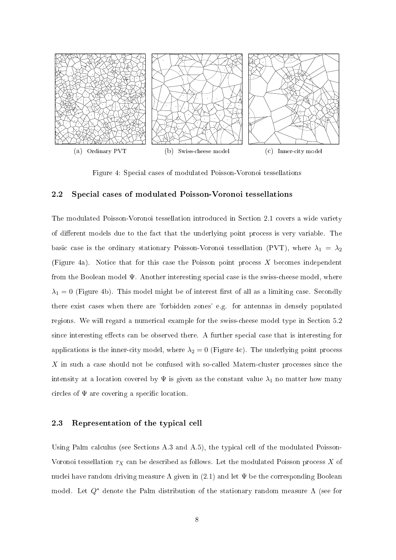

Figure 4: Special cases of modulated Poisson-Voronoi tessellations

#### 2.2 Spe
ial ases of modulated Poisson-Voronoi tessellations

The modulated Poisson-Voronoi tessellation introdu
ed in Se
tion 2.1 overs a wide variety of different models due to the fact that the underlying point process is very variable. The basic case is the ordinary stationary Poisson-Voronoi tessellation (PVT), where  $\lambda_1 = \lambda_2$ (Figure 4a). Notice that for this case the Poisson point process  $X$  becomes independent from the Boolean model  $\Psi$ . Another interesting special case is the swiss-cheese model, where  $\lambda_1 = 0$  (Figure 4b). This model might be of interest first of all as a limiting case. Secondly there exist ases when there are 'forbidden zones' e.g. for antennas in densely populated regions. We will regard a numerical example for the swiss-cheese model type in Section 5.2 since interesting effects can be observed there. A further special case that is interesting for applications is the inner-city model, where  $\lambda_2 = 0$  (Figure 4c). The underlying point process  $X$  in such a case should not be confused with so-called Matern-cluster processes since the intensity at a location covered by  $\Psi$  is given as the constant value  $\lambda_1$  no matter how many circles of  $\Psi$  are covering a specific location.

#### 2.3 Representation of the typical cell

Using Palm calculus (see Sections A.3 and A.5), the typical cell of the modulated Poisson-Voronoi tessellation  $\tau_X$  can be described as follows. Let the modulated Poisson process X of nuclei have random driving measure  $\Lambda$  given in (2.1) and let  $\Psi$  be the corresponding Boolean model. Let  $Q^*$  denote the Palm distribution of the stationary random measure  $\Lambda$  (see for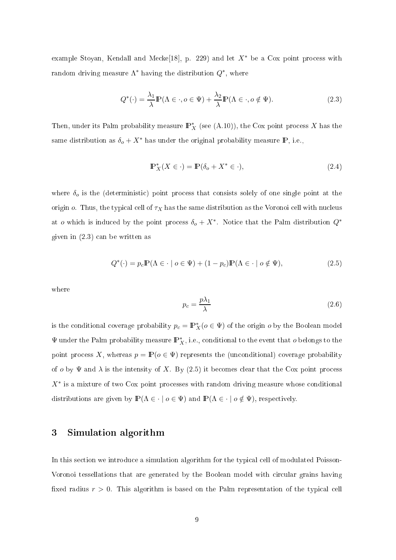example Stoyan, Kendall and Mecke<sup>[18]</sup>, p. 229) and let  $X^*$  be a Cox point process with random driving measure  $\Lambda^*$  having the distribution  $Q^*$ , where

$$
Q^*(\cdot) = \frac{\lambda_1}{\lambda} \mathbb{P}(\Lambda \in \cdot, o \in \Psi) + \frac{\lambda_2}{\lambda} \mathbb{P}(\Lambda \in \cdot, o \notin \Psi). \tag{2.3}
$$

Then, under its Palm probability measure  $\mathbb{P}_{X}^{*}$  (see (A.10)), the Cox point process X has the same distribution as  $\delta_o + X^*$  has under the original probability measure **P**, i.e.,

$$
\mathbb{P}_X^*(X \in \cdot) = \mathbb{P}(\delta_o + X^* \in \cdot),\tag{2.4}
$$

where  $\delta_{o}$  is the (deterministic) point process that consists solely of one single point at the origin  $o$ . Thus, the typical cell of  $\tau_X$  has the same distribution as the Voronoi cell with nucleus at *o* which is induced by the point process  $\delta_o + X^*$ . Notice that the Palm distribution  $Q^*$ given in (2.3) an be written as

$$
Q^*(\cdot) = p_c \mathbb{P}(\Lambda \in \cdot \mid o \in \Psi) + (1 - p_c) \mathbb{P}(\Lambda \in \cdot \mid o \notin \Psi), \tag{2.5}
$$

where

$$
p_c = \frac{p\lambda_1}{\lambda} \tag{2.6}
$$

is the conditional coverage probability  $p_c = \mathbb{P}_X^*(o \in \Psi)$  of the origin  $o$  by the Boolean model  $\Psi$  under the Palm probability measure  $\mathbb{P}^*_X$ , i.e., conditional to the event that  $o$  belongs to the point process X, whereas  $p = \mathbb{P}(o \in \Psi)$  represents the (unconditional) coverage probability of o by  $\Psi$  and  $\lambda$  is the intensity of X. By (2.5) it becomes clear that the Cox point process  $X^*$  is a mixture of two Cox point processes with random driving measure whose conditional distributions are given by  $\mathbb{P}(\Lambda \in \cdot \mid o \in \Psi)$  and  $\mathbb{P}(\Lambda \in \cdot \mid o \notin \Psi)$ , respectively.

### 3 Simulation algorithm

In this section we introduce a simulation algorithm for the typical cell of modulated Poisson-Voronoi tessellations that are generated by the Boolean model with circular grains having fixed radius  $r > 0$ . This algorithm is based on the Palm representation of the typical cell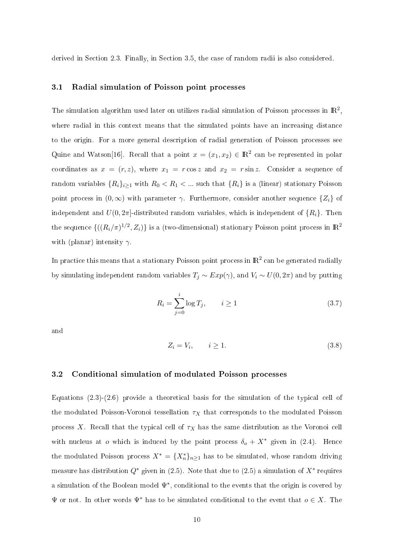derived in Section 2.3. Finally, in Section 3.5, the case of random radii is also considered.

#### 3.1 Radial simulation of Poisson point pro
esses

The simulation algorithm used later on utilizes radial simulation of Poisson processes in  $\mathbb{R}^2,$ where radial in this context means that the simulated points have an increasing distance to the origin. For a more general des
ription of radial generation of Poisson pro
esses see Quine and Watson[16]. Recall that a point  $x = (x_1, x_2) \in \mathbb{R}^2$  can be represented in polar coordinates as  $x = (r, z)$ , where  $x_1 = r \cos z$  and  $x_2 = r \sin z$ . Consider a sequence of random variables  $\{R_i\}_{i\geq 1}$  with  $R_0 < R_1 < ...$  such that  $\{R_i\}$  is a (linear) stationary Poisson point process in  $(0, \infty)$  with parameter  $\gamma$ . Furthermore, consider another sequence  $\{Z_i\}$  of independent and  $U(0, 2\pi]$ -distributed random variables, which is independent of  $\{R_i\}$ . Then the sequence  $\{((R_i/\pi)^{1/2}, Z_i)\}$  is a (two-dimensional) stationary Poisson point process in  $\mathbb{R}^2$ with (planar) intensity  $\gamma$ .

In practice this means that a stationary Poisson point process in  $\mathbb{R}^2$  can be generated radially by simulating independent random variables  $T_j \sim Exp(\gamma)$ , and  $V_i \sim U(0, 2\pi)$  and by putting

$$
R_i = \sum_{j=0}^{i} \log T_j, \qquad i \ge 1 \tag{3.7}
$$

and

$$
Z_i = V_i, \qquad i \ge 1. \tag{3.8}
$$

#### 3.2 Conditional simulation of modulated Poisson pro
esses

Equations  $(2.3)-(2.6)$  provide a theoretical basis for the simulation of the typical cell of the modulated Poisson-Voronoi tessellation  $\tau_X$  that corresponds to the modulated Poisson process X. Recall that the typical cell of  $\tau_X$  has the same distribution as the Voronoi cell with nucleus at *o* which is induced by the point process  $\delta_o + X^*$  given in (2.4). Hence the modulated Poisson process  $X^* = \{X_n^*\}_{n\geq 1}$  has to be simulated, whose random driving measure has distribution  $Q^*$  given in (2.5). Note that due to (2.5) a simulation of  $X^*$  requires a simulation of the Boolean model  $\Psi^*$ , conditional to the events that the origin is covered by  $\Psi$  or not. In other words  $\Psi^*$  has to be simulated conditional to the event that  $o \in X$ . The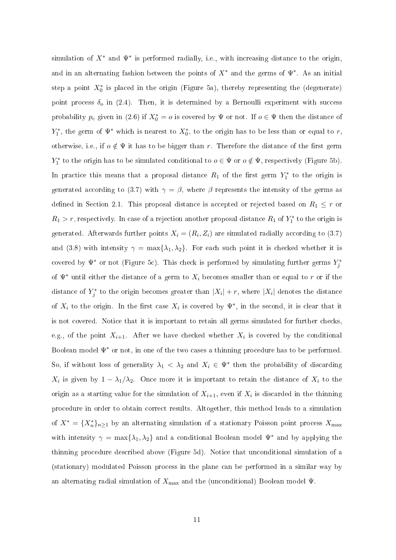simulation of  $X^*$  and  $\Psi^*$  is performed radially, i.e., with increasing distance to the origin, and in an alternating fashion between the points of  $X^*$  and the germs of  $\Psi^*$ . As an initial step a point  $X_0^*$  is placed in the origin (Figure 5a), thereby representing the (degenerate) point process  $\delta_o$  in (2.4). Then, it is determined by a Bernoulli experiment with success probability  $p_c$  given in (2.6) if  $X_0^* = o$  is covered by  $\Psi$  or not. If  $o \in \Psi$  then the distance of  $Y_1^*$ , the germ of  $\Psi^*$  which is nearest to  $X_0^*$ , to the origin has to be less than or equal to r, otherwise, i.e., if  $o \notin \Psi$  it has to be bigger than r. Therefore the distance of the first germ  $Y_1^*$  to the origin has to be simulated conditional to  $o \in \Psi$  or  $o \notin \Psi$ , respectively (Figure 5b). In practice this means that a proposal distance  $R_1$  of the first germ  $Y_1^*$  to the origin is generated according to (3.7) with  $\gamma = \beta$ , where  $\beta$  represents the intensity of the germs as defined in Section 2.1. This proposal distance is accepted or rejected based on  $R_1 \leq r$  or  $R_1 > r$ , respectively. In case of a rejection another proposal distance  $R_1$  of  $Y_1^*$  to the origin is generated. Afterwards further points  $X_i = (R_i, Z_i)$  are simulated radially according to  $(3.7)$ and (3.8) with intensity  $\gamma = \max\{\lambda_1, \lambda_2\}$ . For each such point it is checked whether it is covered by  $\Psi^*$  or not (Figure 5c). This check is performed by simulating further germs  $Y^*_j$ of  $\Psi^*$  until either the distance of a germ to  $X_i$  becomes smaller than or equal to r or if the distance of  $Y_j^*$  to the origin becomes greater than  $|X_i| + r$ , where  $|X_i|$  denotes the distance of  $X_i$  to the origin. In the first case  $X_i$  is covered by  $\Psi^*$ , in the second, it is clear that it is not covered. Notice that it is important to retain all germs simulated for further checks, e.g., of the point  $X_{i+1}$ . After we have checked whether  $X_i$  is covered by the conditional Boolean model  $\Psi^*$  or not, in one of the two cases a thinning procedure has to be performed. So, if without loss of generality  $\lambda_1 < \lambda_2$  and  $X_i \in \Psi^*$  then the probability of discarding  $X_i$  is given by  $1 - \lambda_1/\lambda_2$ . Once more it is important to retain the distance of  $X_i$  to the origin as a starting value for the simulation of  $X_{i+1}$ , even if  $X_i$  is discarded in the thinning pro
edure in order to obtain orre
t results. Altogether, this method leads to a simulation of  $X^* = \{X_n^*\}_{n\geq 1}$  by an alternating simulation of a stationary Poisson point process  $X_{\text{max}}$ with intensity  $\gamma = \max\{\lambda_1, \lambda_2\}$  and a conditional Boolean model  $\Psi^*$  and by applying the thinning pro
edure des
ribed above (Figure 5d). Noti
e that un
onditional simulation of a (stationary) modulated Poisson pro
ess in the plane an be performed in a similar way by an alternating radial simulation of  $X_{\text{max}}$  and the (unconditional) Boolean model  $\Psi$ .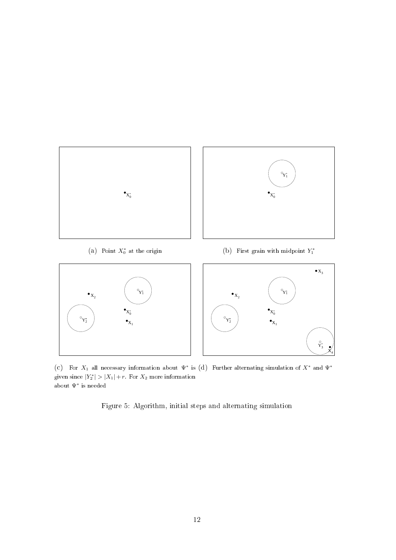

(c) For  $X_1$  all necessary information about  $\Psi^*$  is (d) Further alternating simulation of  $X^*$  and  $\Psi^*$ given since  $|Y_2^*| > |X_1| + r$ . For  $X_2$  more information about  $\Psi^*$  is needed

X 4

Figure 5: Algorithm, initial steps and alternating simulation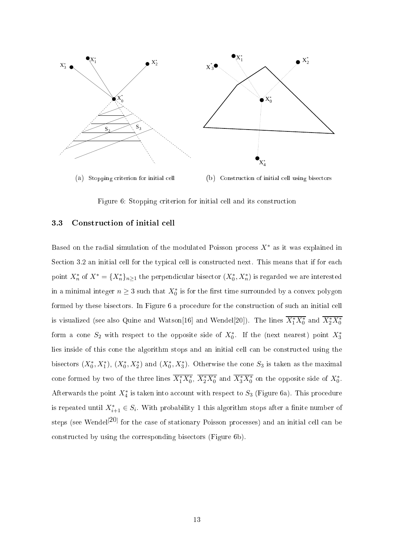

Figure 6: Stopping criterion for initial cell and its construction

#### 3.3 Constru
tion of initial ell

Based on the radial simulation of the modulated Poisson process  $X^*$  as it was explained in Section 3.2 an initial cell for the typical cell is constructed next. This means that if for each point  $X_n^*$  of  $X^* = \{X_n^*\}_{n\geq 1}$  the perpendicular bisector  $(X_0^*, X_n^*)$  is regarded we are interested in a minimal integer  $n \geq 3$  such that  $X_0^*$  is for the first time surrounded by a convex polygon formed by these bisectors. In Figure 6 a procedure for the construction of such an initial cell is visualized (see also Quine and Watson[16] and Wendel[20]). The lines  $\overline{X_1^*X_0^*}$  and  $\overline{X_2^*X_0^*}$ form a cone  $S_2$  with respect to the opposite side of  $X_0^*$ . If the (next nearest) point  $X_3^*$ lies inside of this one the algorithm stops and an initial ell an be onstru
ted using the bisectors  $(X_0^*, X_1^*)$ ,  $(X_0^*, X_2^*)$  and  $(X_0^*, X_3^*)$ . Otherwise the cone  $S_3$  is taken as the maximal cone formed by two of the three lines  $\overline{X_1^*X_0^*}$ ,  $\overline{X_2^*X_0^*}$  and  $\overline{X_3^*X_0^*}$  on the opposite side of  $X_0^*$ . Afterwards the point  $X_4^*$  is taken into account with respect to  $S_3$  (Figure 6a). This procedure is repeated until  $X^*_{i+1} \in S_i$ . With probability 1 this algorithm stops after a finite number of steps (see Wendel<sup>[20]</sup> for the case of stationary Poisson processes) and an initial cell can be onstru
ted by using the orresponding bise
tors (Figure 6b).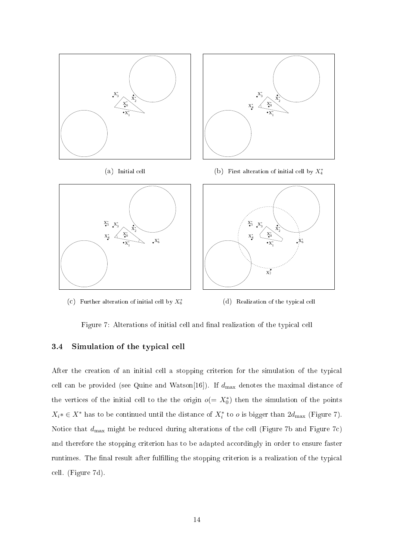

(c) Further alteration of initial cell by  $X_6^*$ 



Figure 7: Alterations of initial cell and final realization of the typical cell

#### 3.4 Simulation of the typical cell

After the creation of an initial cell a stopping criterion for the simulation of the typical cell can be provided (see Quine and Watson[16]). If  $d_{\text{max}}$  denotes the maximal distance of the vertices of the initial cell to the the origin  $o(=X_0^*)$  then the simulation of the points  $X_i^* \in X^*$  has to be continued until the distance of  $X_i^*$  to  $o$  is bigger than  $2d_{\text{max}}$  (Figure 7). Notice that  $d_{\text{max}}$  might be reduced during alterations of the cell (Figure 7b and Figure 7c) and therefore the stopping criterion has to be adapted accordingly in order to ensure faster runtimes. The final result after fulfilling the stopping criterion is a realization of the typical ell. (Figure 7d).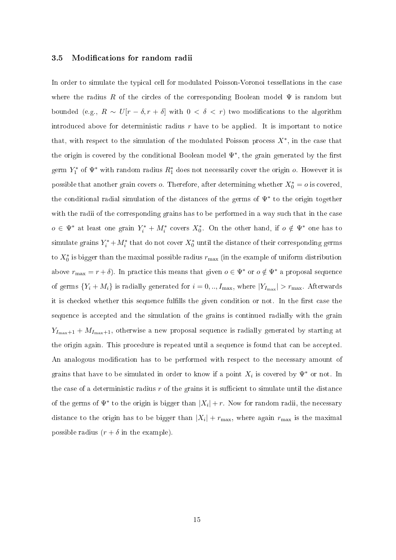#### 3.5 Modifications for random radii

In order to simulate the typical cell for modulated Poisson-Voronoi tessellations in the case where the radius R of the circles of the corresponding Boolean model  $\Psi$  is random but bounded (e.g.,  $R \sim U[r - \delta, r + \delta]$  with  $0 < \delta < r$ ) two modifications to the algorithm introduced above for deterministic radius  $r$  have to be applied. It is important to notice that, with respect to the simulation of the modulated Poisson process  $X^*$ , in the case that the origin is covered by the conditional Boolean model  $\Psi^*$ , the grain generated by the first germ  $Y_1^*$  of  $\Psi^*$  with random radius  $R_1^*$  does not necessarily cover the origin  $o$ . However it is possible that another grain covers  $o$ . Therefore, after determining whether  $X_0^* = o$  is covered, the onditional radial simulation of the distan
es of the germs of Ψ<sup>∗</sup> to the origin together with the radii of the corresponding grains has to be performed in a way such that in the case  $o \in \Psi^*$  at least one grain  $Y_i^* + M_i^*$  covers  $X_0^*$ . On the other hand, if  $o \notin \Psi^*$  one has to simulate grains  $Y_i^* + M_i^*$  that do not cover  $X_0^*$  until the distance of their corresponding germs to  $X_0^*$  is bigger than the maximal possible radius  $r_{\rm max}$  (in the example of uniform distribution above  $r_{\text{max}} = r + \delta$ ). In practice this means that given  $o \in \Psi^*$  or  $o \notin \Psi^*$  a proposal sequence of germs  $\{Y_i + M_i\}$  is radially generated for  $i = 0,..,I_{\text{max}}$ , where  $|Y_{I_{\text{max}}}| > r_{\text{max}}$ . Afterwards it is checked whether this sequence fulfills the given condition or not. In the first case the sequence is accepted and the simulation of the grains is continued radially with the grain  $Y_{I_{\text{max}}+1} + M_{I_{\text{max}}+1}$ , otherwise a new proposal sequence is radially generated by starting at the origin again. This procedure is repeated until a sequence is found that can be accepted. An analogous modification has to be performed with respect to the necessary amount of grains that have to be simulated in order to know if a point  $X_i$  is covered by  $\Psi^*$  or not. In the case of a deterministic radius  $r$  of the grains it is sufficient to simulate until the distance of the germs of  $\Psi^*$  to the origin is bigger than  $|X_i| + r$ . Now for random radii, the necessary distance to the origin has to be bigger than  $|X_i| + r_{\text{max}}$ , where again  $r_{\text{max}}$  is the maximal possible radius  $(r + \delta$  in the example).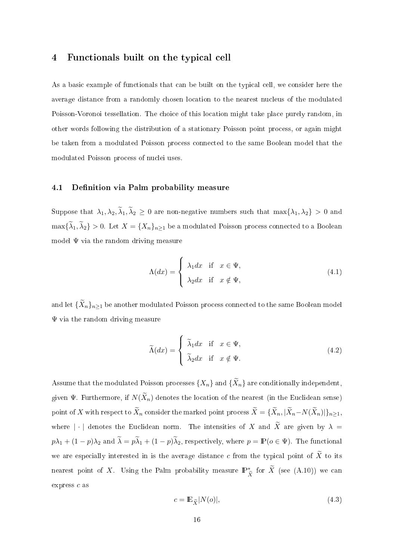### 4 Functionals built on the typical cell

As a basic example of functionals that can be built on the typical cell, we consider here the average distan
e from a randomly hosen lo
ation to the nearest nu
leus of the modulated Poisson-Voronoi tessellation. The choice of this location might take place purely random, in other words following the distribution of a stationary Poisson point pro
ess, or again might be taken from a modulated Poisson process connected to the same Boolean model that the modulated Poisson pro
ess of nu
lei uses.

#### 4.1 Definition via Palm probability measure

Suppose that  $\lambda_1, \lambda_2, \lambda_1, \lambda_2 \ge 0$  are non-negative numbers such that  $\max\{\lambda_1, \lambda_2\} > 0$  and  $\max\{\lambda_1,\lambda_2\} > 0$ . Let  $X = \{X_n\}_{n \geq 1}$  be a modulated Poisson process connected to a Boolean model  $\Psi$  via the random driving measure

$$
\Lambda(dx) = \begin{cases} \lambda_1 dx & \text{if } x \in \Psi, \\ \lambda_2 dx & \text{if } x \notin \Psi, \end{cases}
$$
\n(4.1)

and let  $\{\widetilde{X}_n\}_{n\geq 1}$  be another modulated Poisson process connected to the same Boolean model  $\Psi$  via the random driving measure

$$
\widetilde{\Lambda}(dx) = \begin{cases}\n\widetilde{\lambda}_1 dx & \text{if } x \in \Psi, \\
\widetilde{\lambda}_2 dx & \text{if } x \notin \Psi.\n\end{cases}
$$
\n(4.2)

Assume that the modulated Poisson processes  $\{X_n\}$  and  $\{\widetilde{X}_n\}$  are conditionally independent, given  $\Psi$ . Furthermore, if  $N(\widetilde{X}_n)$  denotes the location of the nearest (in the Euclidean sense) point of X with respect to  $\widetilde{X}_n$  consider the marked point process  $\widetilde{X} = \{\widetilde{X}_n, |\widetilde{X}_n - N(\widetilde{X}_n)|\}_{n \geq 1}$ where |  $\cdot$  | denotes the Euclidean norm. The intensities of X and  $\widetilde{X}$  are given by  $\lambda =$  $p\lambda_1 + (1-p)\lambda_2$  and  $\lambda = p\lambda_1 + (1-p)\lambda_2$ , respectively, where  $p = \mathbb{P}(o \in \Psi)$ . The functional we are especially interested in is the average distance c from the typical point of  $\widetilde{X}$  to its nearest point of X. Using the Palm probability measure  $\mathbb{P}^*_{\widetilde{X}}$  for  $\widetilde{X}$  (see (A.10)) we can express  $c$  as

$$
c = \mathbb{E}_{\widetilde{X}}|N(o)|,\tag{4.3}
$$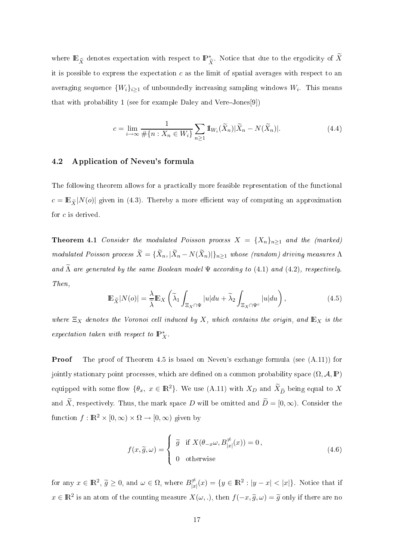where  $\mathbb{E}_{\widetilde X}$  denotes expectation with respect to  $\mathbb{P}^*_{\widetilde X}$ . Notice that due to the ergodicity of  $\widetilde X$ it is possible to express the expectation  $c$  as the limit of spatial averages with respect to an averaging sequence  $\{W_i\}_{i\geq 1}$  of unboundedly increasing sampling windows  $W_i$ . This means that with probability 1 (see for example Daley and VereJones[9])

$$
c = \lim_{i \to \infty} \frac{1}{\# \{ n : X_n \in W_i \}} \sum_{n \ge 1} \mathbb{I}_{W_i}(\widetilde{X}_n) |\widetilde{X}_n - N(\widetilde{X}_n)|. \tag{4.4}
$$

#### 4.2 Appli
ation of Neveu's formula

The following theorem allows for a practically more feasible representation of the functional  $c = \mathbb{E}_{\tilde{X}} |N(o)|$  given in (4.3). Thereby a more efficient way of computing an approximation for c is derived.

**Theorem 4.1** Consider the modulated Poisson process  $X = \{X_n\}_{n\geq 1}$  and the (marked) modulated Poisson process  $X = \{X_n, |X_n - N(X_n)|\}_{n \geq 1}$  whose (random) driving measures  $\Lambda$ and  $\Lambda$  are generated by the same Boolean model  $\Psi$  according to (4.1) and (4.2), respectively. Then,

$$
\mathbb{E}_{\widetilde{X}}|N(o)| = \frac{\lambda}{\widetilde{\lambda}} \mathbb{E}_X \left( \widetilde{\lambda}_1 \int_{\Xi_X \cap \Psi} |u| du + \widetilde{\lambda}_2 \int_{\Xi_X \cap \Psi^c} |u| du \right), \tag{4.5}
$$

where  $\Xi_X$  denotes the Voronoi cell induced by X, which contains the origin, and  $\mathbb{E}_X$  is the expectation taken with respect to  $\mathbb{P}_X^*$ .

**Proof** The proof of Theorem 4.5 is bsaed on Neveu's exchange formula (see  $(A.11)$ ) for jointly stationary point processes, which are defined on a common probability space  $(\Omega, \mathcal{A}, \mathbb{P})$ equipped with some flow  $\{\theta_x, x \in \mathbb{R}^2\}$ . We use  $(A.11)$  with  $X_D$  and  $\widetilde{X}_{\widetilde{D}}$  being equal to X and  $\widetilde{X}$ , respectively. Thus, the mark space D will be omitted and  $\widetilde{D} = [0, \infty)$ . Consider the function  $f : \mathbb{R}^2 \times [0, \infty) \times \Omega \to [0, \infty)$  given by

$$
f(x,\tilde{g},\omega) = \begin{cases} \tilde{g} & \text{if } X(\theta_{-x}\omega, B_{|x|}^{\neq}(x)) = 0, \\ 0 & \text{otherwise} \end{cases}
$$
 (4.6)

for any  $x \in \mathbb{R}^2$ ,  $\widetilde{g} \ge 0$ , and  $\omega \in \Omega$ , where  $B_{|x}^{\neq}$  $\frac{\partial}{\partial |x|}(x) = \{y \in \mathbb{R}^2 : |y - x| < |x|\}.$  Notice that if  $x \in \mathbb{R}^2$  is an atom of the counting measure  $X(\omega,.)$ , then  $f(-x, \tilde{g}, \omega) = \tilde{g}$  only if there are no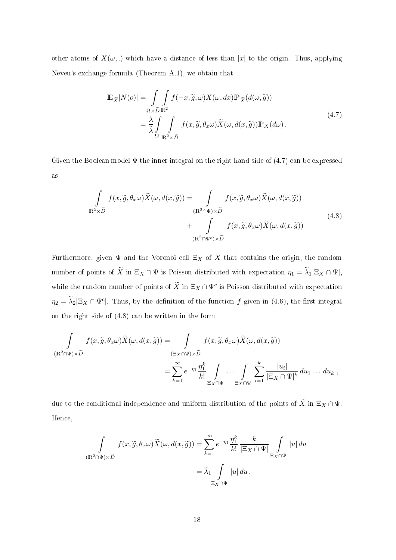other atoms of  $X(\omega,.)$  which have a distance of less than |x| to the origin. Thus, applying Neveu's ex
hange formula (Theorem A.1), we obtain that

$$
\mathbb{E}_{\widetilde{X}}|N(o)| = \int_{\Omega \times \widetilde{D}} \int_{\mathbf{R}^2} f(-x, \widetilde{g}, \omega) X(\omega, dx) \mathbb{P}_{\widetilde{X}}(d(\omega, \widetilde{g}))
$$
\n
$$
= \frac{\lambda}{\widetilde{\lambda}} \int_{\Omega} \int_{\mathbf{R}^2 \times \widetilde{D}} f(x, \widetilde{g}, \theta_x \omega) \widetilde{X}(\omega, d(x, \widetilde{g})) \mathbb{P}_X(d\omega).
$$
\n(4.7)

Given the Boolean model  $\Psi$  the inner integral on the right hand side of (4.7) can be expressed as

$$
\int_{\mathbf{R}^2 \times \tilde{D}} f(x, \tilde{g}, \theta_x \omega) \tilde{X}(\omega, d(x, \tilde{g})) = \int_{\left(\mathbf{R}^2 \cap \Psi\right) \times \tilde{D}} f(x, \tilde{g}, \theta_x \omega) \tilde{X}(\omega, d(x, \tilde{g})) \n+ \int_{\left(\mathbf{R}^2 \cap \Psi^c\right) \times \tilde{D}} f(x, \tilde{g}, \theta_x \omega) \tilde{X}(\omega, d(x, \tilde{g}))
$$
\n(4.8)

Furthermore, given  $\Psi$  and the Voronoi cell  $\Xi_X$  of X that contains the origin, the random number of points of X in  $\Xi_X \cap \Psi$  is Poisson distributed with expectation  $\eta_1 = \lambda_1 | \Xi_X \cap \Psi |$ , while the random number of points of  $\widetilde{X}$  in  $\Xi_X \cap \Psi^c$  is Poisson distributed with expectation  $\eta_2 = \tilde{\lambda}_2 |\Xi_X \cap \Psi^c|$ . Thus, by the definition of the function  $f$  given in (4.6), the first integral on the right side of  $(4.8)$  can be written in the form

$$
\int_{(\mathbf{R}^2 \cap \Psi) \times \tilde{D}} f(x, \tilde{g}, \theta_x \omega) \tilde{X}(\omega, d(x, \tilde{g})) = \int_{(\Xi_X \cap \Psi) \times \tilde{D}} f(x, \tilde{g}, \theta_x \omega) \tilde{X}(\omega, d(x, \tilde{g}))
$$
\n
$$
= \sum_{k=1}^{\infty} e^{-\eta_1} \frac{\eta_1^k}{k!} \int_{\Xi_X \cap \Psi} \cdots \int_{\Xi_X \cap \Psi} \sum_{i=1}^k \frac{|u_i|}{|\Xi_X \cap \Psi|^k} du_1 \cdots du_k,
$$

due to the conditional independence and uniform distribution of the points of  $\widetilde{X}$  in  $\Xi_X \cap \Psi$ . Hen
e,

$$
\int_{(\mathbf{R}^2 \cap \Psi) \times \tilde{D}} f(x, \tilde{g}, \theta_x \omega) \tilde{X}(\omega, d(x, \tilde{g})) = \sum_{k=1}^{\infty} e^{-\eta_1} \frac{\eta_1^k}{k!} \frac{k}{|\Xi_X \cap \Psi|} \int_{\Xi_X \cap \Psi} |u| \, du
$$

$$
= \tilde{\lambda}_1 \int_{\Xi_X \cap \Psi} |u| \, du.
$$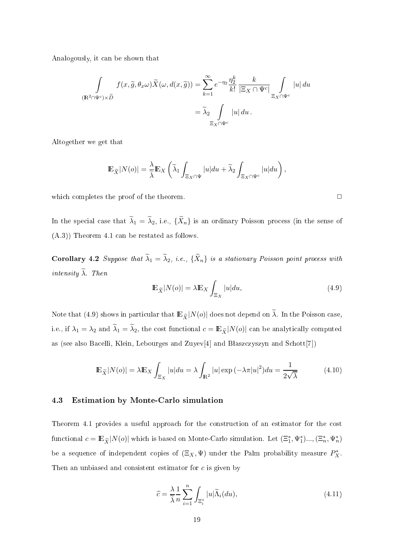Analogously, it an be shown that

$$
\int_{(\mathbf{R}^2 \cap \Psi^c) \times \tilde{D}} f(x, \tilde{g}, \theta_x \omega) \tilde{X}(\omega, d(x, \tilde{g})) = \sum_{k=1}^{\infty} e^{-\eta_2} \frac{\eta_2^k}{k!} \frac{k}{|\Xi_X \cap \Psi^c|} \int_{\Xi_X \cap \Psi^c} |u| \, du
$$

$$
= \tilde{\lambda}_2 \int_{\Xi_X \cap \Psi^c} |u| \, du.
$$

Altogether we get that

$$
\mathbb{E}_{\widetilde{X}}|N(o)| = \frac{\lambda}{\widetilde{\lambda}} \mathbb{E}_X \left( \widetilde{\lambda}_1 \int_{\Xi_X \cap \Psi} |u| du + \widetilde{\lambda}_2 \int_{\Xi_X \cap \Psi^c} |u| du \right),
$$

which completes the proof of the theorem.  $\Box$ 

In the special case that  $\lambda_1 = \lambda_2$ , i.e.,  $\{X_n\}$  is an ordinary Poisson process (in the sense of (A.3)) Theorem 4.1 an be restated as follows.

**Corollary 4.2** Suppose that  $\lambda_1 = \lambda_2$ , i.e.,  $\{X_n\}$  is a stationary Poisson point process with intensity  $\lambda$ . Then

$$
\mathbb{E}_{\widetilde{X}}|N(o)| = \lambda \mathbb{E}_X \int_{\Xi_X} |u| du,
$$
\n(4.9)

Note that (4.9) shows in particular that  $\mathbb{E}_{\tilde{X}}|N(o)|$  does not depend on  $\tilde{\lambda}$ . In the Poisson case, i.e., if  $\lambda_1 = \lambda_2$  and  $\lambda_1 = \lambda_2$ , the cost functional  $c = \mathbb{E}_{\widetilde{X}}|N(o)|$  can be analytically computed as (see also Bacelli, Klein, Lebourges and Zuyev<sup>[4]</sup> and Błaszczyszyn and Schott<sup>[7]</sup>)

$$
\mathbb{E}_{\widetilde{X}}|N(o)| = \lambda \mathbb{E}_X \int_{\Xi_X} |u| du = \lambda \int_{\mathbb{R}^2} |u| \exp\left(-\lambda \pi |u|^2\right) du = \frac{1}{2\sqrt{\lambda}}\tag{4.10}
$$

#### 4.3 Estimation by Monte-Carlo simulation

Theorem 4.1 provides a useful approach for the construction of an estimator for the cost functional  $c = \mathbb{E}_{\widetilde{X}}|N(o)|$  which is based on Monte-Carlo simulation. Let  $(\Xi_1^*, \Psi_1^*)...$ ,  $(\Xi_n^*, \Psi_n^*)$ be a sequence of independent copies of  $(\Xi_X, \Psi)$  under the Palm probability measure  $P_X^*$ . Then an unbiased and consistent estimator for c is given by

$$
\widehat{c} = \frac{\lambda}{\widetilde{\lambda}} \frac{1}{n} \sum_{i=1}^{n} \int_{\Xi_i^*} |u| \widetilde{\Lambda}_i(du), \tag{4.11}
$$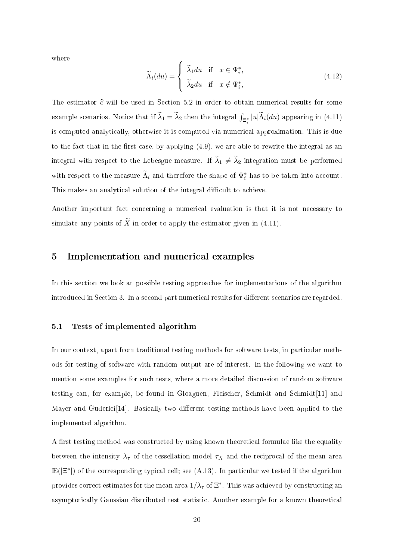where

$$
\widetilde{\Lambda}_{i}(du) = \begin{cases}\n\widetilde{\lambda}_{1}du & \text{if } x \in \Psi_{i}^{*}, \\
\widetilde{\lambda}_{2}du & \text{if } x \notin \Psi_{i}^{*},\n\end{cases}
$$
\n(4.12)

The estimator  $\hat{c}$  will be used in Section 5.2 in order to obtain numerical results for some example scenarios. Notice that if  $\widetilde{\lambda}_1 = \widetilde{\lambda}_2$  then the integral  $\int_{\Xi_i^*} |u| \widetilde{\Lambda}_i(du)$  appearing in (4.11) is omputed analyti
ally, otherwise it is omputed via numeri
al approximation. This is due to the fact that in the first case, by applying  $(4.9)$ , we are able to rewrite the integral as an integral with respect to the Lebesgue measure. If  $\lambda_1 \neq \lambda_2$  integration must be performed with respect to the measure  $\Lambda_i$  and therefore the shape of  $\Psi_i^*$  has to be taken into account. This makes an analytical solution of the integral difficult to achieve.

Another important fact concerning a numerical evaluation is that it is not necessary to simulate any points of  $\widetilde{X}$  in order to apply the estimator given in (4.11).

### 5 Implementation and numeri
al examples

In this section we look at possible testing approaches for implementations of the algorithm introduced in Section 3. In a second part numerical results for different scenarios are regarded.

#### 5.1 Tests of implemented algorithm

In our context, apart from traditional testing methods for software tests, in particular methods for testing of software with random output are of interest. In the following we want to mention some examples for such tests, where a more detailed discussion of random software testing can, for example, be found in Gloaguen, Fleischer, Schmidt and Schmidt[11] and Mayer and Guderlei<sup>[14]</sup>. Basically two different testing methods have been applied to the implemented algorithm.

A first testing method was constructed by using known theoretical formulae like the equality between the intensity  $\lambda_{\tau}$  of the tessellation model  $\tau_X$  and the reciprocal of the mean area  $\mathbb{E}(|\Xi^*|)$  of the corresponding typical cell; see (A.13). In particular we tested if the algorithm provides correct estimates for the mean area  $1/\lambda_\tau$  of  $\Xi^*$  . This was achieved by constructing an asymptotically Gaussian distributed test statistic. Another example for a known theoretical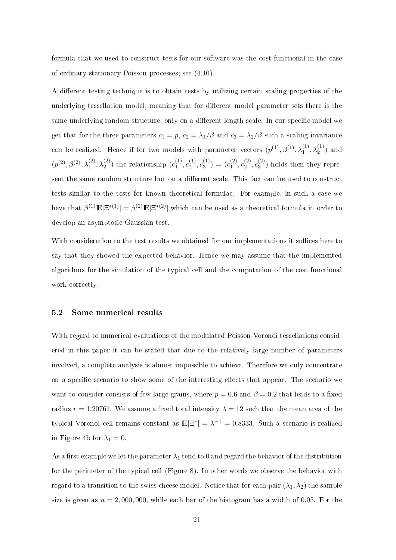formula that we used to construct tests for our software was the cost functional in the case of ordinary stationary Poisson pro
esses; see (4.10).

A different testing technique is to obtain tests by utilizing certain scaling properties of the underlying tessellation model, meaning that for different model parameter sets there is the same underlying random structure, only on a different length scale. In our specific model we get that for the three parameters  $c_1 = p$ ,  $c_2 = \lambda_1/\beta$  and  $c_3 = \lambda_2/\beta$  such a scaling invariance can be realized. Hence if for two models with parameter vectors  $(p^{(1)},\beta^{(1)},\lambda_1^{(1)},\lambda_2^{(1)})$  and  $(p^{(2)}, \beta^{(2)}, \lambda_1^{(2)}, \lambda_2^{(2)})$  the relationship  $(c_1^{(1)})$  $\binom{1}{1}, c_2^{(1)}$  $c_2^{(1)}, c_3^{(1)}$  $s_3^{(1)}$ ) =  $(c_1^{(2)}$  $\binom{2}{1},\binom{2}{2}$  $\binom{2}{2}, \binom{2}{3}$  $\binom{1}{3}$  holds then they represent the same random structure but on a different scale. This fact can be used to construct tests similar to the tests for known theoretical formulae. For example, in such a case we have that  $\beta^{(1)}\mathbb{E}|\Xi^{*(1)}| = \beta^{(2)}\mathbb{E}|\Xi^{*(2)}|$  which can be used as a theoretical formula in order to develop an asymptoti Gaussian test.

With consideration to the test results we obtained for our implementations it suffices here to say that they showed the expe
ted behavior. Hen
e we may assume that the implemented algorithms for the simulation of the typical cell and the computation of the cost functional work correctly.

#### 5.2 Some numeri
al results

With regard to numerical evaluations of the modulated Poisson-Voronoi tessellations considered in this paper it an be stated that due to the relatively large number of parameters involved, a complete analysis is almost impossible to achieve. Therefore we only concentrate on a specific scenario to show some of the interesting effects that appear. The scenario we want to consider consists of few large grains, where  $p = 0.6$  and  $\beta = 0.2$  that leads to a fixed radius  $r = 1.20761$ . We assume a fixed total intensity  $\lambda = 12$  such that the mean area of the typical Voronoi cell remains constant as  $\mathbb{E}|\Xi^*| = \lambda^{-1} = 0.8333$ . Such a scenario is realized in Figure 4b for  $\lambda_1 = 0$ .

As a first example we let the parameter  $\lambda_1$  tend to 0 and regard the behavior of the distribution for the perimeter of the typical cell (Figure 8). In other words we observe the behavior with regard to a transition to the swiss-cheese model. Notice that for each pair  $(\lambda_1, \lambda_2)$  the sample size is given as  $n = 2,000,000$ , while each bar of the histogram has a width of 0.05. For the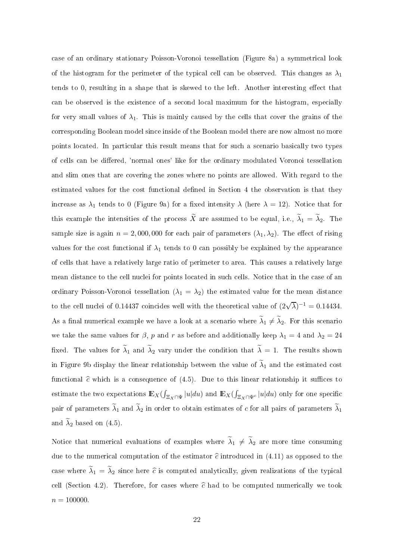ase of an ordinary stationary Poisson-Voronoi tessellation (Figure 8a) a symmetri
al look of the histogram for the perimeter of the typical cell can be observed. This changes as  $\lambda_1$ tends to  $0$ , resulting in a shape that is skewed to the left. Another interesting effect that can be observed is the existence of a second local maximum for the histogram, especially for very small values of  $\lambda_1$ . This is mainly caused by the cells that cover the grains of the orresponding Boolean model sin
e inside of the Boolean model there are now almost no more points located. In particular this result means that for such a scenario basically two types of cells can be differed, 'normal ones' like for the ordinary modulated Voronoi tessellation and slim ones that are overing the zones where no points are allowed. With regard to the estimated values for the cost functional defined in Section 4 the observation is that they increase as  $\lambda_1$  tends to 0 (Figure 9a) for a fixed intensity  $\lambda$  (here  $\lambda = 12$ ). Notice that for this example the intensities of the process X are assumed to be equal, i.e.,  $\lambda_1 = \lambda_2$ . The sample size is again  $n = 2,000,000$  for each pair of parameters  $(\lambda_1, \lambda_2)$ . The effect of rising values for the cost functional if  $\lambda_1$  tends to 0 can possibly be explained by the appearance of ells that have a relatively large ratio of perimeter to area. This auses a relatively large mean distance to the cell nuclei for points located in such cells. Notice that in the case of an ordinary Poisson-Voronoi tessellation  $(\lambda_1 = \lambda_2)$  the estimated value for the mean distance to the cell nuclei of 0.14437 coincides well with the theoretical value of  $(2\sqrt{\lambda})^{-1} = 0.14434$ . As a final numerical example we have a look at a scenario where  $\lambda_1 \neq \lambda_2$ . For this scenario we take the same values for  $\beta$ , p and r as before and additionally keep  $\lambda_1 = 4$  and  $\lambda_2 = 24$ fixed. The values for  $\lambda_1$  and  $\lambda_2$  vary under the condition that  $\lambda = 1$ . The results shown in Figure 9b display the linear relationship between the value of  $\lambda_1$  and the estimated cost functional  $\hat{c}$  which is a consequence of (4.5). Due to this linear relationship it suffices to estimate the two expectations  $\mathbb{E}_X(\int_{\Xi_X \cap \Psi} |u| du)$  and  $\mathbb{E}_X(\int_{\Xi_X \cap \Psi} |u| du)$  only for one specific pair of parameters  $\lambda_1$  and  $\lambda_2$  in order to obtain estimates of c for all pairs of parameters  $\lambda_1$ and  $\lambda_2$  based on  $(4.5)$ .

Notice that numerical evaluations of examples where  $\lambda_1 \neq \lambda_2$  are more time consuming due to the numerical computation of the estimator  $\hat{c}$  introduced in (4.11) as opposed to the case where  $\lambda_1 = \lambda_2$  since here  $\widehat{c}$  is computed analytically, given realizations of the typical cell (Section 4.2). Therefore, for cases where  $\hat{c}$  had to be computed numerically we took  $n = 100000$ .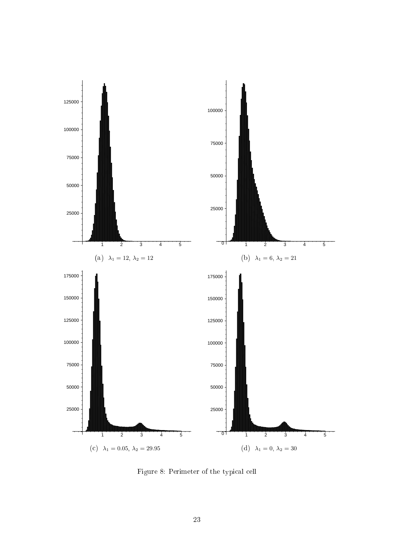

Figure 8: Perimeter of the typical cell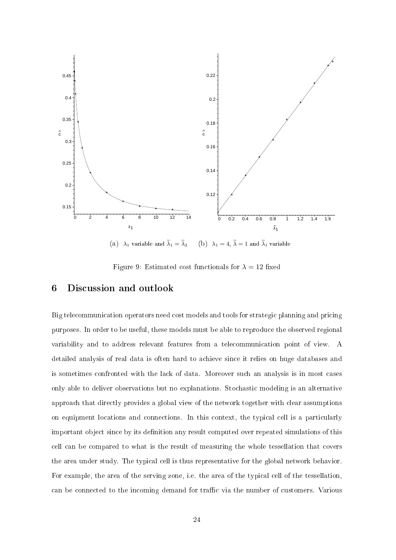

(a)  $\lambda_1$  variable and  $\tilde{\lambda}_1 = \tilde{\lambda}_2$  (b)  $\lambda_1 = 4$ ,  $\tilde{\lambda} = 1$  and  $\tilde{\lambda}_1$  variable

Figure 9: Estimated cost functionals for  $\lambda = 12$  fixed

#### 6 Discussion and outlook

Big telecommunication operators need cost models and tools for strategic planning and pricing purposes. In order to be useful, these models must be able to reprodu
e the observed regional variability and to address relevant features from a tele
ommuni
ation point of view. A detailed analysis of real data is often hard to a
hieve sin
e it relies on huge databases and is sometimes confronted with the lack of data. Moreover such an analysis is in most cases only able to deliver observations but no explanations. Sto
hasti modeling is an alternative approa
h that dire
tly provides a global view of the network together with lear assumptions on equipment locations and connections. In this context, the typical cell is a particularly important object since by its definition any result computed over repeated simulations of this ell an be ompared to what is the result of measuring the whole tessellation that overs the area under study. The typical cell is thus representative for the global network behavior. For example, the area of the serving zone, i.e. the area of the typical cell of the tessellation, can be connected to the incoming demand for traffic via the number of customers. Various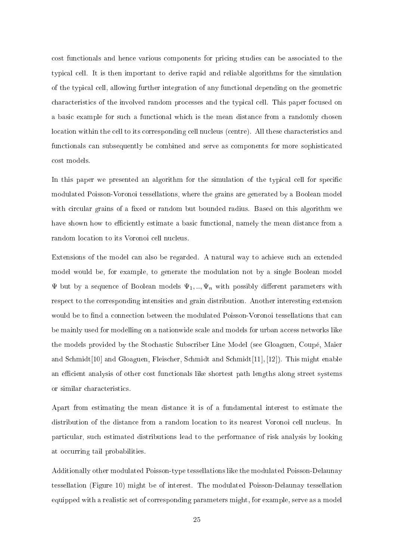cost functionals and hence various components for pricing studies can be associated to the typi
al ell. It is then important to derive rapid and reliable algorithms for the simulation of the typi
al ell, allowing further integration of any fun
tional depending on the geometri characteristics of the involved random processes and the typical cell. This paper focused on a basic example for such a functional which is the mean distance from a randomly chosen location within the cell to its corresponding cell nucleus (centre). All these characteristics and functionals can subsequently be combined and serve as components for more sophisticated ost models.

In this paper we presented an algorithm for the simulation of the typical cell for specific modulated Poisson-Voronoi tessellations, where the grains are generated by a Boolean model with circular grains of a fixed or random but bounded radius. Based on this algorithm we have shown how to efficiently estimate a basic functional, namely the mean distance from a random location to its Voronoi cell nucleus.

Extensions of the model can also be regarded. A natural way to achieve such an extended model would be, for example, to generate the modulation not by a single Boolean model  $\Psi$  but by a sequence of Boolean models  $\Psi_1, \dots, \Psi_n$  with possibly different parameters with respect to the corresponding intensities and grain distribution. Another interesting extension would be to find a connection between the modulated Poisson-Voronoi tessellations that can be mainly used for modelling on a nationwide scale and models for urban access networks like the models provided by the Sto
hasti Subs
riber Line Model (see Gloaguen, Coupé, Maier and Schmidt<sup>[10]</sup> and Gloaguen, Fleischer, Schmidt and Schmidt<sup>[11]</sup>, <sup>[12]</sup>). This might enable an efficient analysis of other cost functionals like shortest path lengths along street systems or similar characteristics.

Apart from estimating the mean distan
e it is of a fundamental interest to estimate the distribution of the distance from a random location to its nearest Voronoi cell nucleus. In parti
ular, su
h estimated distributions lead to the performan
e of risk analysis by looking at occurring tail probabilities.

Additionally other modulated Poisson-type tessellations like the modulated Poisson-Delaunay tessellation (Figure 10) might be of interest. The modulated Poisson-Delaunay tessellation equipped with a realistic set of corresponding parameters might, for example, serve as a model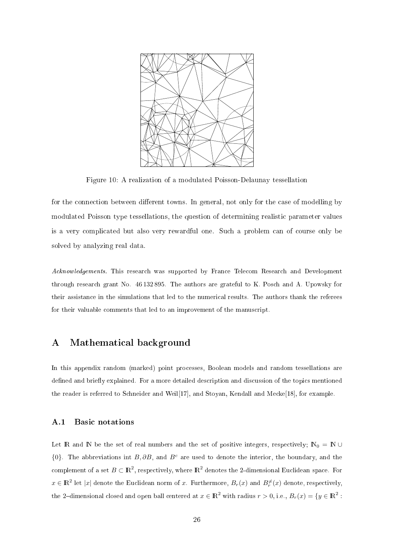

Figure 10: A realization of a modulated Poisson-Delaunay tessellation

for the connection between different towns. In general, not only for the case of modelling by modulated Poisson type tessellations, the question of determining realistic parameter values is a very ompli
ated but also very rewardful one. Su
h a problem an of ourse only be solved by analyzing real data.

Acknowledgements. This research was supported by France Telecom Research and Development through resear
h grant No. 46 132 895. The authors are grateful to K. Pos
h and A. Upowsky for their assistance in the simulations that led to the numerical results. The authors thank the referees for their valuable comments that led to an improvement of the manuscript.

## A Mathemati
al ba
kground

In this appendix random (marked) point processes. Boolean models and random tessellations are defined and briefly explained. For a more detailed description and discussion of the topics mentioned the reader is referred to Schneider and Weil[17], and Stoyan, Kendall and Mecke[18], for example.

#### A.1 Basi notations

Let R and N be the set of real numbers and the set of positive integers, respectively;  $N_0 = N \cup$  ${0}$ . The abbreviations int B, ∂B, and B<sup>c</sup> are used to denote the interior, the boundary, and the complement of a set  $B \subset \mathbb{R}^2$ , respectively, where  $\mathbb{R}^2$  denotes the 2-dimensional Euclidean space. For  $x \in \mathbb{R}^2$  let  $|x|$  denote the Euclidean norm of x. Furthermore,  $B_r(x)$  and  $B_r^{\neq}(x)$  denote, respectively, the 2-dimensional closed and open ball centered at  $x \in \mathbb{R}^2$  with radius  $r > 0$ , i.e.,  $B_r(x) = \{y \in \mathbb{R}^2 :$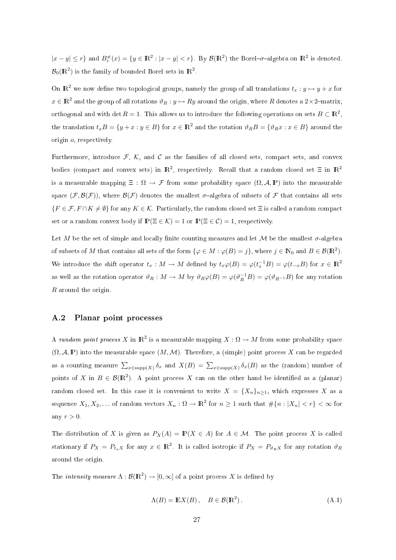$|x-y| \leq r$  and  $B_r^{\neq}(x) = \{y \in \mathbb{R}^2 : |x-y| < r\}$ . By  $\mathcal{B}(\mathbb{R}^2)$  the Borel- $\sigma$ -algebra on  $\mathbb{R}^2$  is denoted.  $\mathcal{B}_0(\mathbb{R}^2)$  is the family of bounded Borel sets in  $\mathbb{R}^2$ .

On  $\mathbb{R}^2$  we now define two topological groups, namely the group of all translations  $t_x : y \mapsto y + x$  for  $x \in \mathbb{R}^2$  and the group of all rotations  $\vartheta_R : y \mapsto Ry$  around the origin, where R denotes a  $2 \times 2$ -matrix, orthogonal and with det  $R = 1$ . This allows us to introduce the following operations on sets  $B \subset \mathbb{R}^2$ , the translation  $t_xB = \{y + x : y \in B\}$  for  $x \in \mathbb{R}^2$  and the rotation  $\vartheta_R B = \{\vartheta_R x : x \in B\}$  around the origin o, respe
tively.

Furthermore, introduce  $\mathcal{F}, \mathcal{K}$ , and C as the families of all closed sets, compact sets, and convex bodies (compact and convex sets) in  $\mathbb{R}^2$ , respectively. Recall that a random closed set  $\Xi$  in  $\mathbb{R}^2$ is a measurable mapping  $\Xi$ :  $\Omega \to \mathcal{F}$  from some probability space  $(\Omega, \mathcal{A}, \mathbb{P})$  into the measurable space  $(\mathcal{F}, \mathcal{B}(\mathcal{F}))$ , where  $\mathcal{B}(\mathcal{F})$  denotes the smallest  $\sigma$ -algebra of subsets of  $\mathcal F$  that contains all sets  ${F \in \mathcal{F}, F \cap K \neq \emptyset}$  for any  $K \in \mathcal{K}$ . Particularly, the random closed set  $\Xi$  is called a random compact set or a random convex body if  $\mathbb{P}(\Xi \in \mathcal{K}) = 1$  or  $\mathbb{P}(\Xi \in \mathcal{C}) = 1$ , respectively.

Let M be the set of simple and locally finite counting measures and let M be the smallest  $\sigma$ -algebra of subsets of M that contains all sets of the form  $\{\varphi \in M : \varphi(B) = j\}$ , where  $j \in \mathbb{N}_0$  and  $B \in \mathcal{B}(\mathbb{R}^2)$ . We introduce the shift operator  $t_x : M \to M$  defined by  $t_x\varphi(B) = \varphi(t_x^{-1}B) = \varphi(t_{-x}B)$  for  $x \in \mathbb{R}^2$ as well as the rotation operator  $\vartheta_R: M \to M$  by  $\vartheta_R \varphi(B) = \varphi(\vartheta_R^{-1}B) = \varphi(\vartheta_{R^{-1}}B)$  for any rotation R around the origin.

#### $A.2$ Planar point processes

A *random point process X* in  $\mathbb{R}^2$  is a measurable mapping  $X:\Omega\to M$  from some probability space  $(\Omega, \mathcal{A}, \mathbb{P})$  into the measurable space  $(M, \mathcal{M})$ . Therefore, a (simple) point process X can be regarded as a counting measure  $\sum_{x\in \text{supp}(X)} \delta_x$  and  $X(B) = \sum_{x\in \text{supp}(X)} \delta_x(B)$  as the (random) number of points of X in  $B \in \mathcal{B}(\mathbb{R}^2)$ . A point process X can on the other hand be identified as a (planar) random closed set. In this case it is convenient to write  $X = \{X_n\}_{n\geq 1}$ , which expresses X as a sequence  $X_1, X_2, \ldots$  of random vectors  $X_n : \Omega \to \mathbb{R}^2$  for  $n \ge 1$  such that  $\#\{n : |X_n| < r\} < \infty$  for any  $r > 0$ .

The distribution of X is given as  $P_X(A) = \mathbb{P}(X \in A)$  for  $A \in \mathcal{M}$ . The point process X is called stationary if  $P_X = P_{t_x X}$  for any  $x \in \mathbb{R}^2$ . It is called isotropic if  $P_X = P_{\vartheta_R X}$  for any rotation  $\vartheta_R$ around the origin.

The *intensity measure*  $\Lambda : \mathcal{B}(\mathbb{R}^2) \to [0, \infty]$  of a point process X is defined by

$$
\Lambda(B) = \mathbb{E}X(B), \quad B \in \mathcal{B}(\mathbb{R}^2).
$$
 (A.1)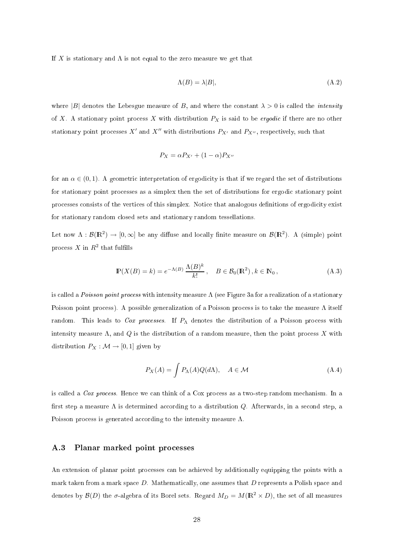If X is stationary and  $\Lambda$  is not equal to the zero measure we get that

$$
\Lambda(B) = \lambda |B|,\tag{A.2}
$$

where |B| denotes the Lebesgue measure of B, and where the constant  $\lambda > 0$  is called the *intensity* of X. A stationary point process X with distribution  $P_X$  is said to be *ergodic* if there are no other stationary point processes  $X'$  and  $X''$  with distributions  $P_{X'}$  and  $P_{X''}$ , respectively, such that

$$
P_X = \alpha P_{X'} + (1 - \alpha) P_{X''}
$$

for an  $\alpha \in (0,1)$ . A geometric interpretation of ergodicity is that if we regard the set of distributions for stationary point processes as a simplex then the set of distributions for ergodic stationary point processes consists of the vertices of this simplex. Notice that analogous definitions of ergodicity exist for stationary random losed sets and stationary random tessellations.

Let now  $\Lambda: \mathcal{B}(\mathbb{R}^2) \to [0,\infty]$  be any diffuse and locally finite measure on  $\mathcal{B}(\mathbb{R}^2)$ . A (simple) point process  $X$  in  $R^2$  that fulfills

$$
\mathbb{P}(X(B) = k) = e^{-\Lambda(B)} \frac{\Lambda(B)^k}{k!}, \quad B \in \mathcal{B}_0(\mathbb{R}^2), k \in \mathbb{N}_0,
$$
 (A.3)

is called a *Poisson point process* with intensity measure  $\Lambda$  (see Figure 3a for a realization of a stationary Poisson point process). A possible generalization of a Poisson process is to take the measure  $\Lambda$  itself random. This leads to Cox processes. If  $P_{\Lambda}$  denotes the distribution of a Poisson process with intensity measure  $\Lambda$ , and  $Q$  is the distribution of a random measure, then the point process X with distribution  $P_X : \mathcal{M} \to [0, 1]$  given by

$$
P_X(A) = \int P_{\Lambda}(A)Q(d\Lambda), \quad A \in \mathcal{M}
$$
\n(A.4)

is alled a Cox pro
ess. Hen
e we an think of a Cox pro
ess as a two-step random me
hanism. In a first step a measure  $\Lambda$  is determined according to a distribution Q. Afterwards, in a second step, a Poisson process is generated according to the intensity measure  $\Lambda$ .

#### A.3 Planar marked point pro
esses

An extension of planar point processes can be achieved by additionally equipping the points with a mark taken from a mark space  $D$ . Mathematically, one assumes that  $D$  represents a Polish space and denotes by  $\mathcal{B}(D)$  the  $\sigma$ -algebra of its Borel sets. Regard  $M_D = M(\mathbb{R}^2 \times D)$ , the set of all measures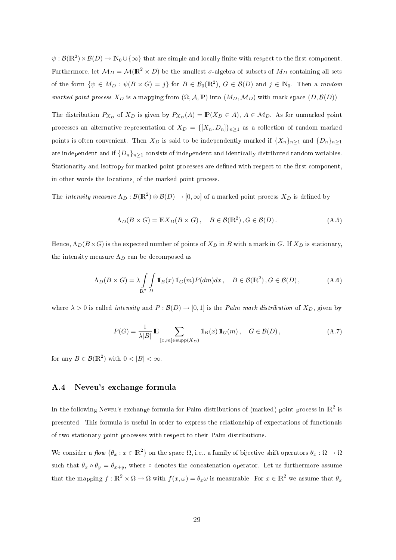$\psi:\mathcal{B}(\mathbb{R}^2)\times\mathcal{B}(D)\to\mathbb{N}_0\cup\{\infty\}$  that are simple and locally finite with respect to the first component. Furthermore, let  $M_D = M(\mathbb{R}^2 \times D)$  be the smallest  $\sigma$ -algebra of subsets of  $M_D$  containing all sets of the form  $\{\psi \in M_D : \psi(B \times G) = j\}$  for  $B \in \mathcal{B}_0(\mathbb{R}^2)$ ,  $G \in \mathcal{B}(D)$  and  $j \in \mathbb{N}_0$ . Then a *random* marked point process  $X_D$  is a mapping from  $(\Omega, \mathcal{A}, \mathbb{P})$  into  $(M_D, \mathcal{M}_D)$  with mark space  $(D, \mathcal{B}(D))$ .

The distribution  $P_{X_D}$  of  $X_D$  is given by  $P_{X_D}(A) = \mathbb{P}(X_D \in A)$ ,  $A \in \mathcal{M}_D$ . As for unmarked point processes an alternative representation of  $X_D = \{[X_n, D_n]\}_{n \geq 1}$  as a collection of random marked points is often convenient. Then  $X_D$  is said to be independently marked if  $\{X_n\}_{n\geq 1}$  and  $\{D_n\}_{n\geq 1}$ are independent and if  $\{D_n\}_{n\geq 1}$  consists of independent and identically distributed random variables. Stationarity and isotropy for marked point processes are defined with respect to the first component, in other words the locations, of the marked point process.

The intensity measure  $\Lambda_D : \mathcal{B}(\mathbb{R}^2) \otimes \mathcal{B}(D) \to [0,\infty]$  of a marked point process  $X_D$  is defined by

$$
\Lambda_D(B \times G) = \mathbb{E} X_D(B \times G), \quad B \in \mathcal{B}(\mathbb{R}^2), G \in \mathcal{B}(D). \tag{A.5}
$$

Hence,  $\Lambda_D(B\times G)$  is the expected number of points of  $X_D$  in B with a mark in G. If  $X_D$  is stationary, the intensity measure  $\Lambda_D$  can be decomposed as

$$
\Lambda_D(B \times G) = \lambda \int_{\mathbf{R}^2} \int \mathbb{I}_B(x) \, \mathbb{I}_G(m) P(dm) dx \,, \quad B \in \mathcal{B}(\mathbb{R}^2) \,, G \in \mathcal{B}(D) \,, \tag{A.6}
$$

where  $\lambda > 0$  is called *intensity* and  $P : \mathcal{B}(D) \to [0, 1]$  is the *Palm mark distribution* of  $X_D$ , given by

$$
P(G) = \frac{1}{\lambda|B|} \mathbb{E} \sum_{[x,m] \in \text{supp}(X_D)} \mathbb{I}_B(x) \, \mathbb{I}_G(m), \quad G \in \mathcal{B}(D), \tag{A.7}
$$

for any  $B \in \mathcal{B}(\mathbb{R}^2)$  with  $0 < |B| < \infty$ .

#### A.4 Neveu's ex
hange formula

In the following Neveu's exchange formula for Palm distributions of (marked) point process in  $\mathbb{R}^2$  is presented. This formula is useful in order to express the relationship of expe
tations of fun
tionals of two stationary point pro
esses with respe
t to their Palm distributions.

We consider a  $flow \{ \theta_x : x \in \mathbb{R}^2 \}$  on the space  $\Omega$ , i.e., a family of bijective shift operators  $\theta_x : \Omega \to \Omega$ such that  $\theta_x \circ \theta_y = \theta_{x+y}$ , where  $\circ$  denotes the concatenation operator. Let us furthermore assume that the mapping  $f : \mathbb{R}^2 \times \Omega \to \Omega$  with  $f(x,\omega) = \theta_x \omega$  is measurable. For  $x \in \mathbb{R}^2$  we assume that  $\theta_x$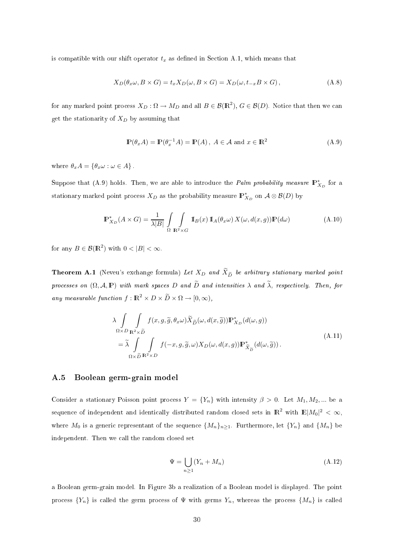is compatible with our shift operator  $t_x$  as defined in Section A.1, which means that

$$
X_D(\theta_x \omega, B \times G) = t_x X_D(\omega, B \times G) = X_D(\omega, t_{-x} B \times G), \qquad (A.8)
$$

for any marked point process  $X_D: \Omega \to M_D$  and all  $B \in \mathcal{B}(\mathbb{R}^2)$ ,  $G \in \mathcal{B}(D)$ . Notice that then we can get the stationarity of  $X_D$  by assuming that

$$
\mathbb{P}(\theta_x A) = \mathbb{P}(\theta_x^{-1} A) = \mathbb{P}(A), \ A \in \mathcal{A} \text{ and } x \in \mathbb{R}^2
$$
 (A.9)

where  $\theta_x A = \{\theta_x \omega : \omega \in A\}.$ 

Suppose that (A.9) holds. Then, we are able to introduce the *Palm probability measure*  $\mathbb{P}_{X_D}^*$  for a stationary marked point process  $X_D$  as the probability measure  $\mathbb{P}_{X_D}^*$  on  $\mathcal{A} \otimes \mathcal{B}(D)$  by

$$
\mathbb{P}_{X_D}^*(A \times G) = \frac{1}{\lambda|B|} \int \int \int \mathbb{I}_B(x) \, \mathbb{I}_A(\theta_x \omega) \, X(\omega, d(x, g)) \mathbb{P}(d\omega) \tag{A.10}
$$

for any  $B \in \mathcal{B}(\mathbb{R}^2)$  with  $0 < |B| < \infty$ .

**Theorem A.1** (Neveu's exchange formula) Let  $X_D$  and  $X_{\widetilde{D}}$  be arbitrary stationary marked point processes on  $(\Omega, \mathcal{A}, \mathbb{P})$  with mark spaces D and  $\widetilde{D}$  and intensities  $\lambda$  and  $\widetilde{\lambda}$ , respectively. Then, for any measurable function  $f: \mathbb{R}^2 \times D \times \widetilde{D} \times \Omega \rightarrow [0, \infty)$ ,

$$
\lambda \int_{\Omega \times D} \int_{\mathbf{R}^2 \times \tilde{D}} f(x, g, \tilde{g}, \theta_x \omega) \tilde{X}_{\tilde{D}}(\omega, d(x, \tilde{g})) \mathbb{P}_{X_D}^*(d(\omega, g))
$$
\n
$$
= \tilde{\lambda} \int_{\Omega \times \tilde{D}} \int_{\mathbf{R}^2 \times D} f(-x, g, \tilde{g}, \omega) X_D(\omega, d(x, g)) \mathbb{P}_{\tilde{X}_{\tilde{D}}}^*(d(\omega, \tilde{g})) .
$$
\n(A.11)

#### A.5 Boolean germ-grain model

Consider a stationary Poisson point process  $Y = \{Y_n\}$  with intensity  $\beta > 0$ . Let  $M_1, M_2, ...$  be a sequence of independent and identically distributed random closed sets in  $\mathbb{R}^2$  with  $\mathbb{E}|M_0|^2 < \infty$ , where  $M_0$  is a generic representant of the sequence  $\{M_n\}_{n>1}$ . Furthermore, let  $\{Y_n\}$  and  $\{M_n\}$  be independent. Then we all the random losed set

$$
\Psi = \bigcup_{n \ge 1} (Y_n + M_n) \tag{A.12}
$$

a Boolean germ-grain model. In Figure 3b a realization of a Boolean model is displayed. The point process  $\{Y_n\}$  is called the germ process of  $\Psi$  with germs  $Y_n$ , whereas the process  $\{M_n\}$  is called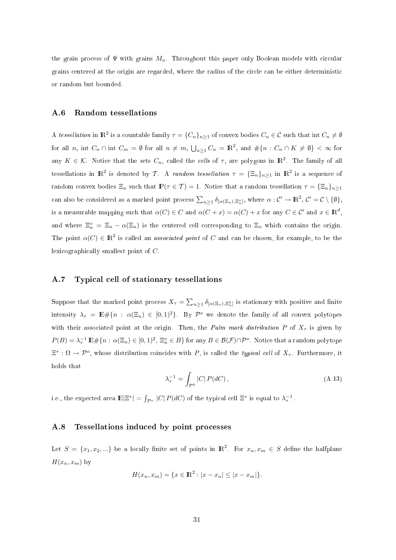the grain process of  $\Psi$  with grains  $M_n$ . Throughout this paper only Boolean models with circular grains centered at the origin are regarded, where the radius of the circle can be either deterministic or random but bounded.

#### A.6 Random tessellations

A tessellation in  $\mathbb{R}^2$  is a countable family  $\tau = \{C_n\}_{n\geq 1}$  of convex bodies  $C_n \in \mathcal{C}$  such that int  $C_n \neq \emptyset$ for all n, int  $C_n \cap \text{int } C_m = \emptyset$  for all  $n \neq m$ ,  $\bigcup_{n \geq 1} C_n = \mathbb{R}^2$ , and  $\#\{n : C_n \cap K \neq \emptyset\} < \infty$  for any  $K \in \mathcal{K}$ . Notice that the sets  $C_n$ , called the *cells* of  $\tau$ , are polygons in  $\mathbb{R}^2$ . The family of all tessellations in  $\mathbb{R}^2$  is denoted by T. A *random tessellation*  $\tau = {\{\Xi_n\}}_{n\geq 1}$  in  $\mathbb{R}^2$  is a sequence of random convex bodies  $\Xi_n$  such that  $\mathbb{P}(\tau \in \mathcal{T}) = 1$ . Notice that a random tessellation  $\tau = {\Xi_n}_{n \geq 1}$ can also be considered as a marked point process  $\sum_{n\geq 1}\delta_{[\alpha(\Xi_n),\Xi_n^o]}$ , where  $\alpha:\mathcal{C}'\to \mathbb{R}^2$ ,  $\mathcal{C}'=\mathcal{C}\setminus\{\emptyset\}$ , is a measurable mapping such that  $\alpha(C) \in C$  and  $\alpha(C + x) = \alpha(C) + x$  for any  $C \in C'$  and  $x \in \mathbb{R}^d$ , and where  $\Xi_n^o = \Xi_n - \alpha(\Xi_n)$  is the centered cell corresponding to  $\Xi_n$  which contains the origin. The point  $\alpha(C) \in \mathbb{R}^2$  is called an *associated point* of C and can be chosen, for example, to be the lexicographically smallest point of C.

#### A.7 Typi
al ell of stationary tessellations

Suppose that the marked point process  $X_{\tau} = \sum_{n\geq 1} \delta_{[\alpha(\Xi_n),\Xi_n^0]}$  is stationary with positive and finite intensity  $\lambda_{\tau} = \mathbb{E} \# \{n : \alpha(\Xi_n) \in [0,1)^2\}$ . By  $\mathcal{P}^o$  we denote the family of all convex polytopes with their associated point at the origin. Then, the Palm mark distribution P of  $X_{\tau}$  is given by  $P(B) = \lambda_\tau^{-1} \mathbb{E} \# \{n : \alpha(\Xi_n) \in [0,1)^2, \, \Xi_n^o \in B\}$  for any  $B \in \mathcal{B}(\mathcal{F}) \cap \mathcal{P}^o$ . Notice that a random polytope  $\Xi^*: \Omega \to \mathcal{P}^o$ , whose distribution coincides with P, is called the *typical cell* of  $X_\tau$ . Furthermore, it holds that

$$
\lambda_{\tau}^{-1} = \int_{\mathcal{P}^0} |C| P(dC), \qquad (A.13)
$$

i.e., the expected area  $\mathbb{E}|\Xi^*| = \int_{\mathcal{P}^o} |C| P(dC)$  of the typical cell  $\Xi^*$  is equal to  $\lambda_\tau^{-1}$ .

#### $A.8$ Tessellations induced by point processes

Let  $S = \{x_1, x_2, ...\}$  be a locally finite set of points in  $\mathbb{R}^2$ . For  $x_n, x_m \in S$  define the halfplane  $H(x_n, x_m)$  by

$$
H(x_n, x_m) = \{x \in \mathbb{R}^2 : |x - x_n| \le |x - x_m|\}.
$$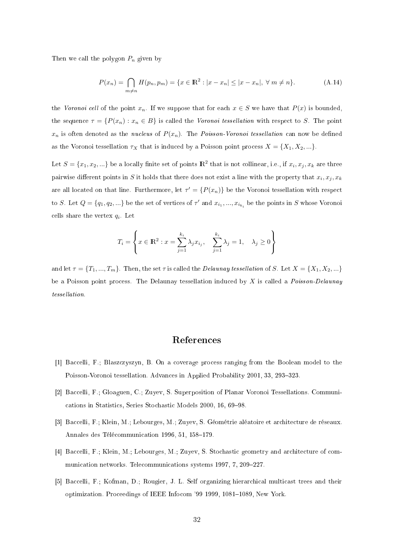Then we call the polygon  $P_n$  given by

$$
P(x_n) = \bigcap_{m \neq n} H(p_n, p_m) = \{ x \in \mathbb{R}^2 : |x - x_n| \le |x - x_n|, \forall m \neq n \}.
$$
 (A.14)

the Voronoi cell of the point  $x_n$ . If we suppose that for each  $x \in S$  we have that  $P(x)$  is bounded, the sequence  $\tau = \{P(x_n) : x_n \in B\}$  is called the *Voronoi tessellation* with respect to S. The point  $x_n$  is often denoted as the *nucleus* of  $P(x_n)$ . The *Poisson-Voronoi tessellation* can now be defined as the Voronoi tessellation  $\tau_X$  that is induced by a Poisson point process  $X = \{X_1, X_2, ...\}$ .

Let  $S = \{x_1, x_2, ...\}$  be a locally finite set of points  $\mathbb{R}^2$  that is not collinear, i.e., if  $x_i, x_j, x_k$  are three pairwise different points in S it holds that there does not exist a line with the property that  $x_i, x_j, x_k$ are all located on that line. Furthermore, let  $\tau' = \{P(x_n)\}\;$  be the Voronoi tessellation with respect to S. Let  $Q = \{q_1, q_2, ...\}$  be the set of vertices of  $\tau'$  and  $x_{i_1}, ..., x_{i_{k_i}}$  be the points in S whose Voronoi cells share the vertex  $q_i$ . Let

$$
T_i = \left\{ x \in \mathbb{R}^2 : x = \sum_{j=1}^{k_i} \lambda_j x_{i_j}, \quad \sum_{j=1}^{k_i} \lambda_j = 1, \quad \lambda_j \ge 0 \right\}
$$

and let  $\tau = \{T_1, ..., T_m\}$ . Then, the set  $\tau$  is called the *Delaunay tessellation* of S. Let  $X = \{X_1, X_2, ...\}$ be a Poisson point process. The Delaunay tessellation induced by X is called a *Poisson-Delaunay* tessel lation.

### Referen
es

- [1] Baccelli, F.; Blaszczyszyn, B. On a coverage process ranging from the Boolean model to the Poisson-Voronoi tessellation. Advances in Applied Probability 2001, 33, 293-323.
- [2] Baccelli, F.; Gloaguen, C.; Zuyev, S. Superposition of Planar Voronoi Tessellations. Communications in Statistics, Series Stochastic Models 2000, 16, 69–98.
- [3] Baccelli, F.; Klein, M.; Lebourges, M.; Zuyev, S. Géométrie aléatoire et architecture de réseaux. Annales des Télécommunication 1996, 51, 158–179.
- [4] Baccelli, F.; Klein, M.; Lebourges, M.; Zuyev, S. Stochastic geometry and architecture of communication networks. Telecommunications systems 1997, 7, 209-227.
- [5] Baccelli, F.; Kofman, D.; Rougier, J. L. Self organizing hierarchical multicast trees and their optimization. Proceedings of IEEE Infocom '99 1999, 1081-1089, New York.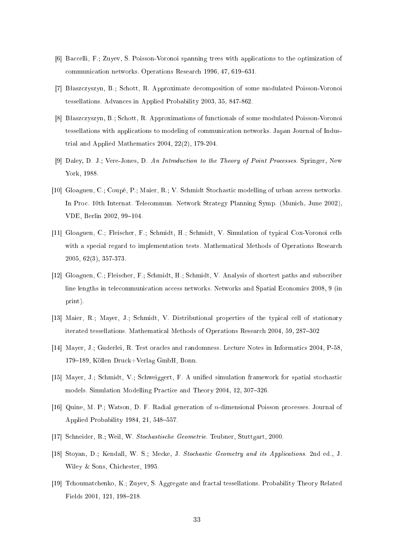- [6] Baccelli, F.; Zuyev, S. Poisson-Voronoi spanning trees with applications to the optimization of communication networks. Operations Research 1996, 47, 619-631.
- [7] Błaszczyszyn, B.; Schott, R. Approximate decomposition of some modulated Poisson-Voronoi tessellations. Advan
es in Applied Probability 2003, 35, 847-862.
- [8] Błaszczyszyn, B.; Schott, R. Approximations of functionals of some modulated Poisson-Voronoi tessellations with applications to modeling of communication networks. Japan Journal of Industrial and Applied Mathemati
s 2004, 22(2), 179-204.
- [9] Daley, D. J.; Vere-Jones, D. An Introduction to the Theory of Point Processes, Springer, New York, 1988.
- [10] Gloaguen, C.; Coupé, P.; Maier, R.; V. Schmidt Stochastic modelling of urban access networks. In Pro
. 10th Internat. Tele
ommun. Network Strategy Planning Symp. (Muni
h, June 2002), VDE, Berlin 2002, 99-104.
- [11] Gloaguen, C.; Fleischer, F.; Schmidt, H.; Schmidt, V. Simulation of typical Cox-Voronoi cells with a special regard to implementation tests. Mathematical Methods of Operations Research 2005, 62(3), 357-373.
- [12] Gloaguen, C.; Fleischer, F.; Schmidt, H.; Schmidt, V. Analysis of shortest paths and subscriber line lengths in telecommunication access networks. Networks and Spatial Economics 2008, 9 (in print).
- [13] Maier, R.; Mayer, J.; Schmidt, V. Distributional properties of the typical cell of stationary iterated tessellations. Mathematical Methods of Operations Research 2004, 59, 287-302
- [14] Mayer, J.; Guderlei, R. Test oracles and randomness. Lecture Notes in Informatics 2004, P-58, 179–189, Köllen Druck+Verlag GmbH, Bonn.
- [15] Mayer, J.; Schmidt, V.; Schweiggert, F. A unified simulation framework for spatial stochastic models. Simulation Modelling Practice and Theory 2004, 12, 307-326.
- [16] Quine, M. P.; Watson, D. F. Radial generation of *n*-dimensional Poisson processes. Journal of Applied Probability 1984, 21, 548-557.
- [17] Schneider, R.; Weil, W. *Stochastische Geometrie*. Teubner, Stuttgart, 2000.
- [18] Stoyan, D.; Kendall, W. S.; Mecke, J. Stochastic Geometry and its Applications. 2nd ed., J. Wiley & Sons, Chi
hester, 1995.
- [19] Tchoumatchenko, K.; Zuyev, S. Aggregate and fractal tessellations. Probability Theory Related Fields 2001, 121, 198-218.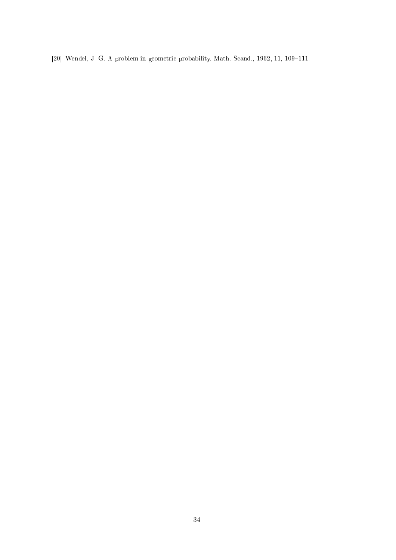[20] Wendel, J. G. A problem in geometric probability. Math. Scand., 1962, 11, 109-111.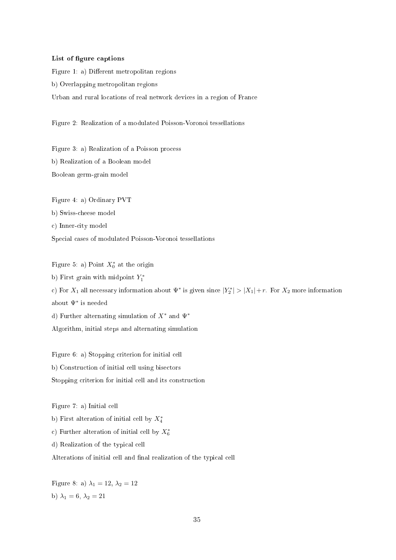#### List of figure captions

Figure 1: a) Different metropolitan regions b) Overlapping metropolitan regions Urban and rural locations of real network devices in a region of France

Figure 2: Realization of a modulated Poisson-Voronoi tessellations

Figure 3: a) Realization of a Poisson pro
ess b) Realization of a Boolean model Boolean germ-grain model

Figure 4: a) Ordinary PVT b) Swissheese model c) Inner-city model Spe
ial ases of modulated Poisson-Voronoi tessellations

Figure 5: a) Point  $X_0^*$  at the origin b) First grain with midpoint  $Y_1^*$ c) For  $X_1$  all necessary information about  $\Psi^*$  is given since  $|Y_2^*| > |X_1| + r$ . For  $X_2$  more information about Ψ<sup>∗</sup> is needed d) Further alternating simulation of  $X^*$  and  $\Psi^*$ Algorithm, initial steps and alternating simulation

Figure 6: a) Stopping criterion for initial cell b) Constru
tion of initial ell using bise
tors Stopping criterion for initial cell and its construction

Figure 7: a) Initial ell

b) First alteration of initial cell by  $X_4^*$ 

c) Further alteration of initial cell by  $X_6^*$ 

d) Realization of the typi
al ell

Alterations of initial cell and final realization of the typical cell

Figure 8: a)  $\lambda_1 = 12, \lambda_2 = 12$ b)  $\lambda_1 = 6, \lambda_2 = 21$